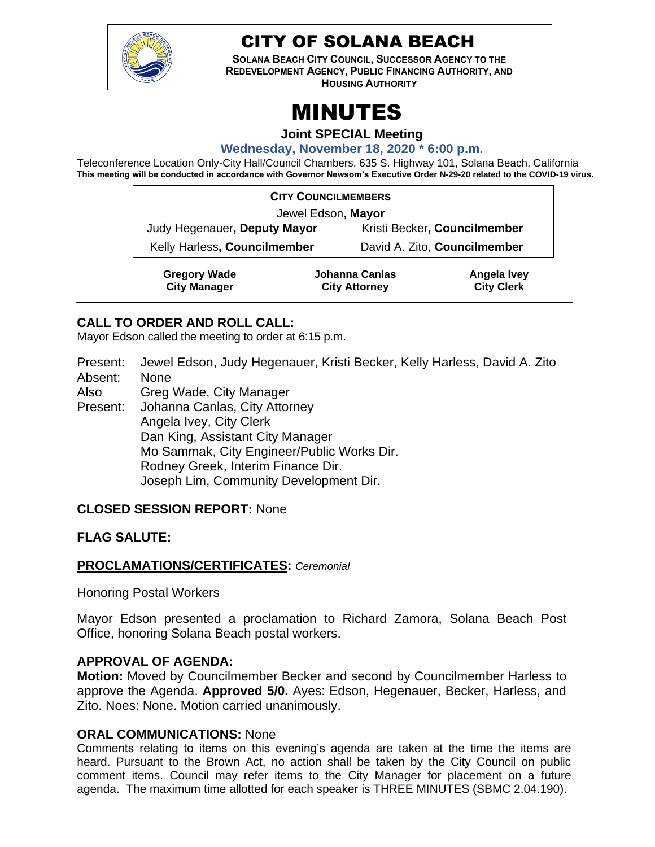

# CITY OF SOLANA BEACH

**SOLANA BEACH CITY COUNCIL, SUCCESSOR AGENCY TO THE REDEVELOPMENT AGENCY, PUBLIC FINANCING AUTHORITY, AND**

**HOUSING AUTHORITY** 

# MINUTES

**Joint SPECIAL Meeting**

**Wednesday, November 18, 2020 \* 6:00 p.m.**

Teleconference Location Only-City Hall/Council Chambers, 635 S. Highway 101, Solana Beach, California **This meeting will be conducted in accordance with Governor Newsom's Executive Order N-29-20 related to the COVID-19 virus.**

| <b>CITY COUNCILMEMBERS</b>                 |                                        |                              |                                  |
|--------------------------------------------|----------------------------------------|------------------------------|----------------------------------|
| Jewel Edson, Mayor                         |                                        |                              |                                  |
| Judy Hegenauer, Deputy Mayor               |                                        | Kristi Becker, Councilmember |                                  |
| Kelly Harless, Councilmember               |                                        | David A. Zito, Councilmember |                                  |
| <b>Gregory Wade</b><br><b>City Manager</b> | Johanna Canlas<br><b>City Attorney</b> |                              | Angela Ivey<br><b>City Clerk</b> |

# **CALL TO ORDER AND ROLL CALL:**

Mayor Edson called the meeting to order at 6:15 p.m.

Present: Jewel Edson, Judy Hegenauer, Kristi Becker, Kelly Harless, David A. Zito Absent: None

Also Greg Wade, City Manager

Present: Johanna Canlas, City Attorney Angela Ivey, City Clerk Dan King, Assistant City Manager Mo Sammak, City Engineer/Public Works Dir. Rodney Greek, Interim Finance Dir. Joseph Lim, Community Development Dir.

# **CLOSED SESSION REPORT:** None

# **FLAG SALUTE:**

# **PROCLAMATIONS/CERTIFICATES:** *Ceremonial*

Honoring Postal Workers

Mayor Edson presented a proclamation to Richard Zamora, Solana Beach Post Office, honoring Solana Beach postal workers.

# **APPROVAL OF AGENDA:**

**Motion:** Moved by Councilmember Becker and second by Councilmember Harless to approve the Agenda. **Approved 5/0.** Ayes: Edson, Hegenauer, Becker, Harless, and Zito. Noes: None. Motion carried unanimously.

# **ORAL COMMUNICATIONS:** None

Comments relating to items on this evening's agenda are taken at the time the items are heard. Pursuant to the Brown Act, no action shall be taken by the City Council on public comment items. Council may refer items to the City Manager for placement on a future agenda. The maximum time allotted for each speaker is THREE MINUTES (SBMC 2.04.190).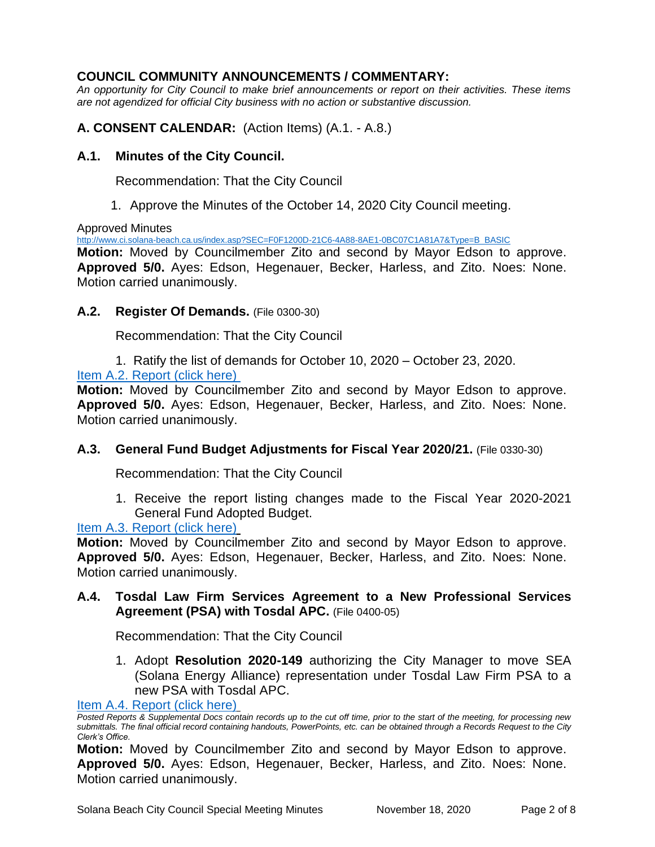# **COUNCIL COMMUNITY ANNOUNCEMENTS / COMMENTARY:**

*An opportunity for City Council to make brief announcements or report on their activities. These items are not agendized for official City business with no action or substantive discussion.* 

**A. CONSENT CALENDAR:** (Action Items) (A.1. - A.8.)

# **A.1. Minutes of the City Council.**

Recommendation: That the City Council

1. Approve the Minutes of the October 14, 2020 City Council meeting.

Approved Minutes

[http://www.ci.solana-beach.ca.us/index.asp?SEC=F0F1200D-21C6-4A88-8AE1-0BC07C1A81A7&Type=B\\_BASIC](http://www.ci.solana-beach.ca.us/index.asp?SEC=F0F1200D-21C6-4A88-8AE1-0BC07C1A81A7&Type=B_BASIC)

**Motion:** Moved by Councilmember Zito and second by Mayor Edson to approve. **Approved 5/0.** Ayes: Edson, Hegenauer, Becker, Harless, and Zito. Noes: None. Motion carried unanimously.

# **A.2. Register Of Demands.** (File 0300-30)

Recommendation: That the City Council

1. Ratify the list of demands for October 10, 2020 – October 23, 2020.

[Item A.2. Report \(click](https://solanabeach.govoffice3.com/vertical/Sites/%7B840804C2-F869-4904-9AE3-720581350CE7%7D/uploads/Item_A.2._Report_(click_here)_11-18-20_O.pdf) here)

**Motion:** Moved by Councilmember Zito and second by Mayor Edson to approve. **Approved 5/0.** Ayes: Edson, Hegenauer, Becker, Harless, and Zito. Noes: None. Motion carried unanimously.

# **A.3. General Fund Budget Adjustments for Fiscal Year 2020/21.** (File 0330-30)

Recommendation: That the City Council

1. Receive the report listing changes made to the Fiscal Year 2020-2021 General Fund Adopted Budget.

# [Item A.3. Report \(click here\)](https://solanabeach.govoffice3.com/vertical/Sites/%7B840804C2-F869-4904-9AE3-720581350CE7%7D/uploads/Item_A.3._Report_(click_here)_11-18-20_O.pdf)

**Motion:** Moved by Councilmember Zito and second by Mayor Edson to approve. **Approved 5/0.** Ayes: Edson, Hegenauer, Becker, Harless, and Zito. Noes: None. Motion carried unanimously.

**A.4. Tosdal Law Firm Services Agreement to a New Professional Services Agreement (PSA) with Tosdal APC.** (File 0400-05)

Recommendation: That the City Council

1. Adopt **Resolution 2020-149** authorizing the City Manager to move SEA (Solana Energy Alliance) representation under Tosdal Law Firm PSA to a new PSA with Tosdal APC.

[Item A.4. Report \(click here\)](https://solanabeach.govoffice3.com/vertical/Sites/%7B840804C2-F869-4904-9AE3-720581350CE7%7D/uploads/Item_A.4._Report_(click_here)_11-18-20_O.pdf)

**Motion:** Moved by Councilmember Zito and second by Mayor Edson to approve. **Approved 5/0.** Ayes: Edson, Hegenauer, Becker, Harless, and Zito. Noes: None. Motion carried unanimously.

*Posted Reports & Supplemental Docs contain records up to the cut off time, prior to the start of the meeting, for processing new submittals. The final official record containing handouts, PowerPoints, etc. can be obtained through a Records Request to the City Clerk's Office.*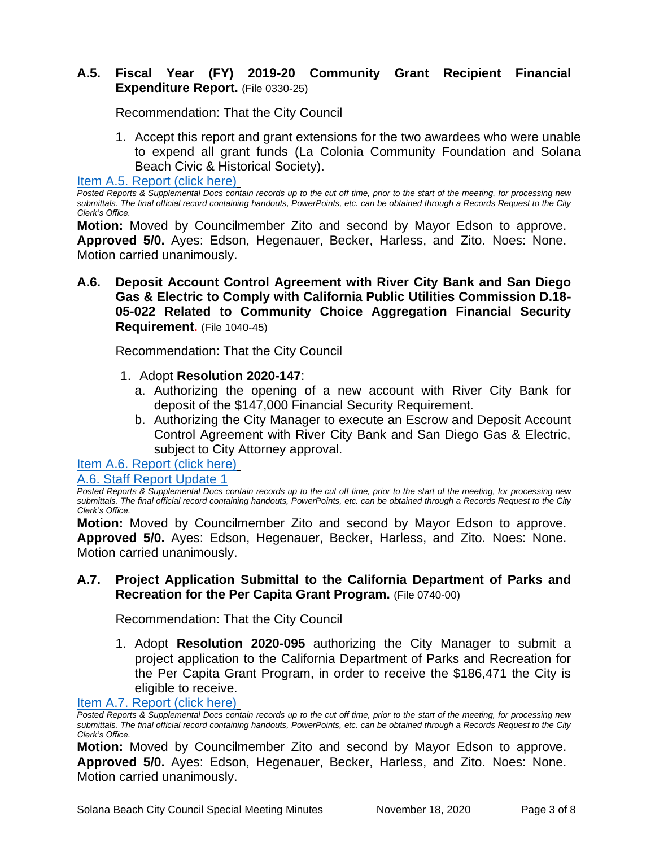# **A.5. Fiscal Year (FY) 2019-20 Community Grant Recipient Financial Expenditure Report.** (File 0330-25)

Recommendation: That the City Council

1. Accept this report and grant extensions for the two awardees who were unable to expend all grant funds (La Colonia Community Foundation and Solana Beach Civic & Historical Society).

[Item A.5. Report \(click here\)](https://solanabeach.govoffice3.com/vertical/Sites/%7B840804C2-F869-4904-9AE3-720581350CE7%7D/uploads/Item_A.5._Report_(click_here)_11-18-20_O.pdf)

*Posted Reports & Supplemental Docs contain records up to the cut off time, prior to the start of the meeting, for processing new submittals. The final official record containing handouts, PowerPoints, etc. can be obtained through a Records Request to the City Clerk's Office.*

**Motion:** Moved by Councilmember Zito and second by Mayor Edson to approve. **Approved 5/0.** Ayes: Edson, Hegenauer, Becker, Harless, and Zito. Noes: None. Motion carried unanimously.

**A.6. Deposit Account Control Agreement with River City Bank and San Diego Gas & Electric to Comply with California Public Utilities Commission D.18- 05-022 Related to Community Choice Aggregation Financial Security Requirement.** (File 1040-45)

Recommendation: That the City Council

- 1. Adopt **Resolution 2020-147**:
	- a. Authorizing the opening of a new account with River City Bank for deposit of the \$147,000 Financial Security Requirement.
	- b. Authorizing the City Manager to execute an Escrow and Deposit Account Control Agreement with River City Bank and San Diego Gas & Electric, subject to City Attorney approval.

[Item A.6. Report \(click here\)](https://solanabeach.govoffice3.com/vertical/Sites/%7B840804C2-F869-4904-9AE3-720581350CE7%7D/uploads/Item_A.6._Report_(click_here)_11-18-20_O.pdf)

#### [A.6. Staff Report Update 1](https://solanabeach.govoffice3.com/vertical/Sites/%7B840804C2-F869-4904-9AE3-720581350CE7%7D/uploads/A.6._Staff_Report_Update_1_-_O.pdf)

*Posted Reports & Supplemental Docs contain records up to the cut off time, prior to the start of the meeting, for processing new submittals. The final official record containing handouts, PowerPoints, etc. can be obtained through a Records Request to the City Clerk's Office.*

**Motion:** Moved by Councilmember Zito and second by Mayor Edson to approve. **Approved 5/0.** Ayes: Edson, Hegenauer, Becker, Harless, and Zito. Noes: None. Motion carried unanimously.

# **A.7. Project Application Submittal to the California Department of Parks and Recreation for the Per Capita Grant Program.** (File 0740-00)

Recommendation: That the City Council

1. Adopt **Resolution 2020-095** authorizing the City Manager to submit a project application to the California Department of Parks and Recreation for the Per Capita Grant Program, in order to receive the \$186,471 the City is eligible to receive.

[Item A.7. Report \(click here\)](https://solanabeach.govoffice3.com/vertical/Sites/%7B840804C2-F869-4904-9AE3-720581350CE7%7D/uploads/Item_A.7._Report_(click_here)_11-18-20_O.pdf)

**Motion:** Moved by Councilmember Zito and second by Mayor Edson to approve. **Approved 5/0.** Ayes: Edson, Hegenauer, Becker, Harless, and Zito. Noes: None. Motion carried unanimously.

*Posted Reports & Supplemental Docs contain records up to the cut off time, prior to the start of the meeting, for processing new submittals. The final official record containing handouts, PowerPoints, etc. can be obtained through a Records Request to the City Clerk's Office.*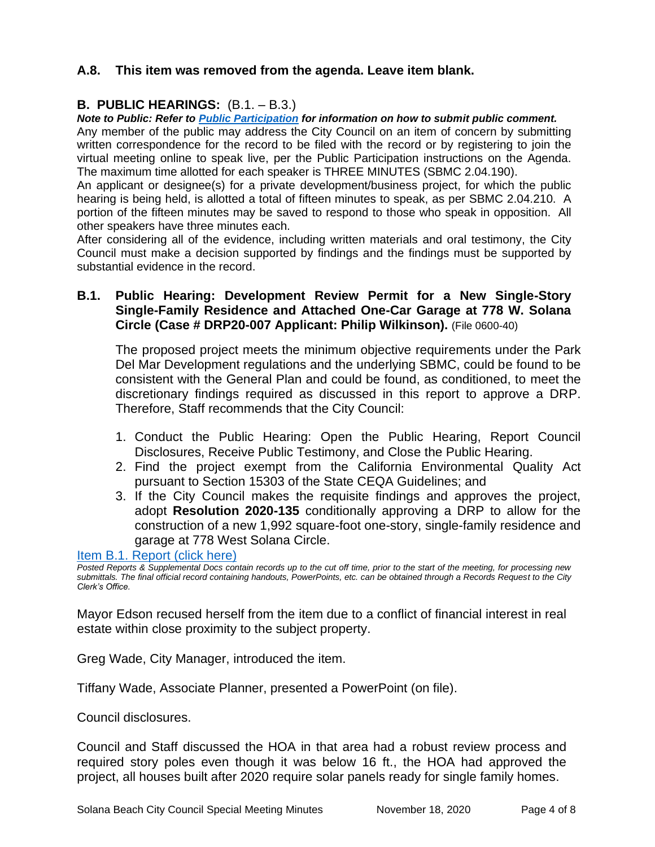# **A.8. This item was removed from the agenda. Leave item blank.**

#### **B. PUBLIC HEARINGS:** (B.1. – B.3.)

*Note to Public: Refer to Public Participation for information on how to submit public comment.* 

Any member of the public may address the City Council on an item of concern by submitting written correspondence for the record to be filed with the record or by registering to join the virtual meeting online to speak live, per the Public Participation instructions on the Agenda. The maximum time allotted for each speaker is THREE MINUTES (SBMC 2.04.190).

An applicant or designee(s) for a private development/business project, for which the public hearing is being held, is allotted a total of fifteen minutes to speak, as per SBMC 2.04.210. A portion of the fifteen minutes may be saved to respond to those who speak in opposition. All other speakers have three minutes each.

After considering all of the evidence, including written materials and oral testimony, the City Council must make a decision supported by findings and the findings must be supported by substantial evidence in the record.

# **B.1. Public Hearing: Development Review Permit for a New Single-Story Single-Family Residence and Attached One-Car Garage at 778 W. Solana Circle (Case # DRP20-007 Applicant: Philip Wilkinson).** (File 0600-40)

The proposed project meets the minimum objective requirements under the Park Del Mar Development regulations and the underlying SBMC, could be found to be consistent with the General Plan and could be found, as conditioned, to meet the discretionary findings required as discussed in this report to approve a DRP. Therefore, Staff recommends that the City Council:

- 1. Conduct the Public Hearing: Open the Public Hearing, Report Council Disclosures, Receive Public Testimony, and Close the Public Hearing.
- 2. Find the project exempt from the California Environmental Quality Act pursuant to Section 15303 of the State CEQA Guidelines; and
- 3. If the City Council makes the requisite findings and approves the project, adopt **Resolution 2020-135** conditionally approving a DRP to allow for the construction of a new 1,992 square-foot one-story, single-family residence and garage at 778 West Solana Circle.

#### [Item B.1. Report \(click here\)](https://solanabeach.govoffice3.com/vertical/Sites/%7B840804C2-F869-4904-9AE3-720581350CE7%7D/uploads/Item_B.1._Report_(click_here)_11-18-20_O.pdf)

*Posted Reports & Supplemental Docs contain records up to the cut off time, prior to the start of the meeting, for processing new submittals. The final official record containing handouts, PowerPoints, etc. can be obtained through a Records Request to the City Clerk's Office.*

Mayor Edson recused herself from the item due to a conflict of financial interest in real estate within close proximity to the subject property.

Greg Wade, City Manager, introduced the item.

Tiffany Wade, Associate Planner, presented a PowerPoint (on file).

Council disclosures.

Council and Staff discussed the HOA in that area had a robust review process and required story poles even though it was below 16 ft., the HOA had approved the project, all houses built after 2020 require solar panels ready for single family homes.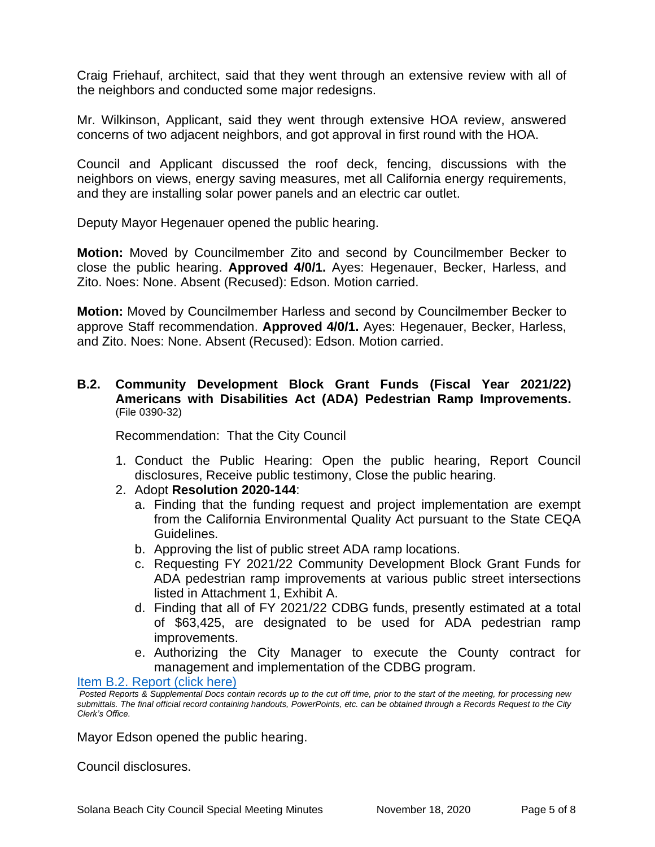Craig Friehauf, architect, said that they went through an extensive review with all of the neighbors and conducted some major redesigns.

Mr. Wilkinson, Applicant, said they went through extensive HOA review, answered concerns of two adjacent neighbors, and got approval in first round with the HOA.

Council and Applicant discussed the roof deck, fencing, discussions with the neighbors on views, energy saving measures, met all California energy requirements, and they are installing solar power panels and an electric car outlet.

Deputy Mayor Hegenauer opened the public hearing.

**Motion:** Moved by Councilmember Zito and second by Councilmember Becker to close the public hearing. **Approved 4/0/1.** Ayes: Hegenauer, Becker, Harless, and Zito. Noes: None. Absent (Recused): Edson. Motion carried.

**Motion:** Moved by Councilmember Harless and second by Councilmember Becker to approve Staff recommendation. **Approved 4/0/1.** Ayes: Hegenauer, Becker, Harless, and Zito. Noes: None. Absent (Recused): Edson. Motion carried.

#### **B.2. Community Development Block Grant Funds (Fiscal Year 2021/22) Americans with Disabilities Act (ADA) Pedestrian Ramp Improvements.** (File 0390-32)

Recommendation: That the City Council

- 1. Conduct the Public Hearing: Open the public hearing, Report Council disclosures, Receive public testimony, Close the public hearing.
- 2. Adopt **Resolution 2020-144**:
	- a. Finding that the funding request and project implementation are exempt from the California Environmental Quality Act pursuant to the State CEQA Guidelines.
	- b. Approving the list of public street ADA ramp locations.
	- c. Requesting FY 2021/22 Community Development Block Grant Funds for ADA pedestrian ramp improvements at various public street intersections listed in Attachment 1, Exhibit A.
	- d. Finding that all of FY 2021/22 CDBG funds, presently estimated at a total of \$63,425, are designated to be used for ADA pedestrian ramp improvements.
	- e. Authorizing the City Manager to execute the County contract for management and implementation of the CDBG program.

Item [B.2. Report \(click here\)](https://solanabeach.govoffice3.com/vertical/Sites/%7B840804C2-F869-4904-9AE3-720581350CE7%7D/uploads/Item_B.2._Report_(click_here)_11-18-20_O.pdf)

Mayor Edson opened the public hearing.

Council disclosures.

*Posted Reports & Supplemental Docs contain records up to the cut off time, prior to the start of the meeting, for processing new submittals. The final official record containing handouts, PowerPoints, etc. can be obtained through a Records Request to the City Clerk's Office.*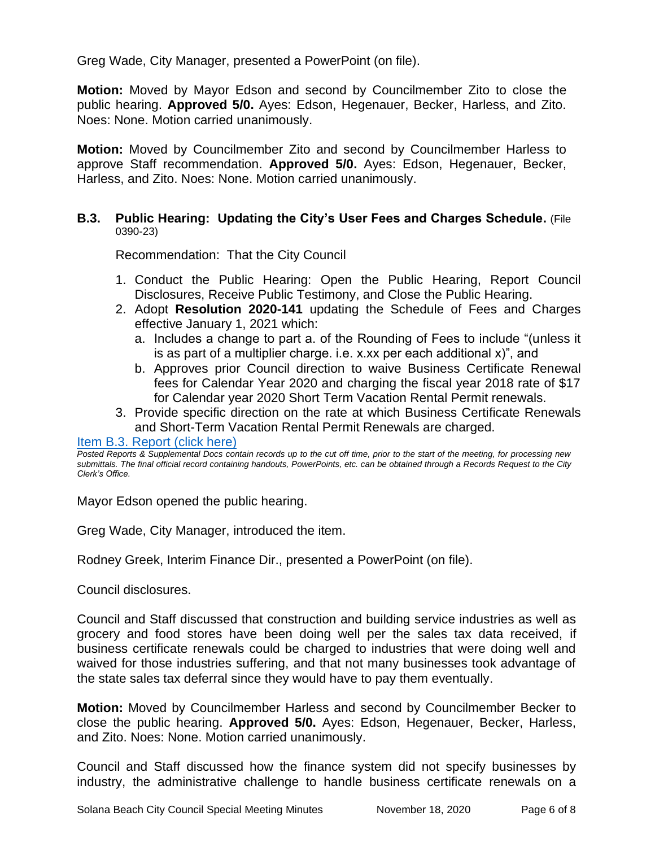Greg Wade, City Manager, presented a PowerPoint (on file).

**Motion:** Moved by Mayor Edson and second by Councilmember Zito to close the public hearing. **Approved 5/0.** Ayes: Edson, Hegenauer, Becker, Harless, and Zito. Noes: None. Motion carried unanimously.

**Motion:** Moved by Councilmember Zito and second by Councilmember Harless to approve Staff recommendation. **Approved 5/0.** Ayes: Edson, Hegenauer, Becker, Harless, and Zito. Noes: None. Motion carried unanimously.

#### **B.3. Public Hearing: Updating the City's User Fees and Charges Schedule.** (File 0390-23)

Recommendation: That the City Council

- 1. Conduct the Public Hearing: Open the Public Hearing, Report Council Disclosures, Receive Public Testimony, and Close the Public Hearing.
- 2. Adopt **Resolution 2020-141** updating the Schedule of Fees and Charges effective January 1, 2021 which:
	- a. Includes a change to part a. of the Rounding of Fees to include "(unless it is as part of a multiplier charge. i.e. x.xx per each additional x)", and
	- b. Approves prior Council direction to waive Business Certificate Renewal fees for Calendar Year 2020 and charging the fiscal year 2018 rate of \$17 for Calendar year 2020 Short Term Vacation Rental Permit renewals.
- 3. Provide specific direction on the rate at which Business Certificate Renewals and Short-Term Vacation Rental Permit Renewals are charged.

#### [Item B.3. Report \(click here\)](https://solanabeach.govoffice3.com/vertical/Sites/%7B840804C2-F869-4904-9AE3-720581350CE7%7D/uploads/Item_B.3._Report_(click_here)_11-18-20_O.pdf)

*Posted Reports & Supplemental Docs contain records up to the cut off time, prior to the start of the meeting, for processing new submittals. The final official record containing handouts, PowerPoints, etc. can be obtained through a Records Request to the City Clerk's Office.*

Mayor Edson opened the public hearing.

Greg Wade, City Manager, introduced the item.

Rodney Greek, Interim Finance Dir., presented a PowerPoint (on file).

Council disclosures.

Council and Staff discussed that construction and building service industries as well as grocery and food stores have been doing well per the sales tax data received, if business certificate renewals could be charged to industries that were doing well and waived for those industries suffering, and that not many businesses took advantage of the state sales tax deferral since they would have to pay them eventually.

**Motion:** Moved by Councilmember Harless and second by Councilmember Becker to close the public hearing. **Approved 5/0.** Ayes: Edson, Hegenauer, Becker, Harless, and Zito. Noes: None. Motion carried unanimously.

Council and Staff discussed how the finance system did not specify businesses by industry, the administrative challenge to handle business certificate renewals on a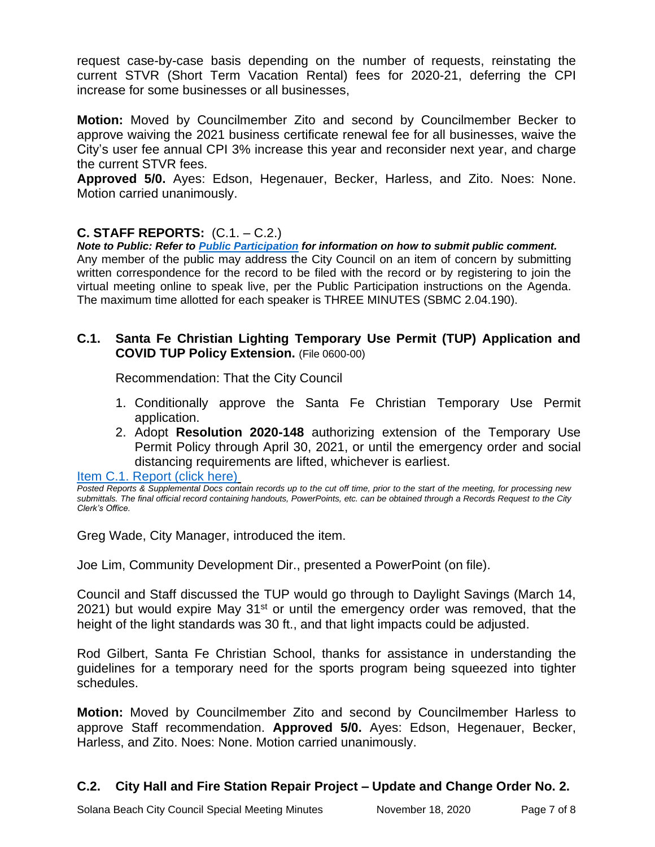request case-by-case basis depending on the number of requests, reinstating the current STVR (Short Term Vacation Rental) fees for 2020-21, deferring the CPI increase for some businesses or all businesses,

**Motion:** Moved by Councilmember Zito and second by Councilmember Becker to approve waiving the 2021 business certificate renewal fee for all businesses, waive the City's user fee annual CPI 3% increase this year and reconsider next year, and charge the current STVR fees.

**Approved 5/0.** Ayes: Edson, Hegenauer, Becker, Harless, and Zito. Noes: None. Motion carried unanimously.

# **C. STAFF REPORTS:** (C.1. – C.2.)

*Note to Public: Refer to Public Participation for information on how to submit public comment.*  Any member of the public may address the City Council on an item of concern by submitting written correspondence for the record to be filed with the record or by registering to join the virtual meeting online to speak live, per the Public Participation instructions on the Agenda. The maximum time allotted for each speaker is THREE MINUTES (SBMC 2.04.190).

#### **C.1. Santa Fe Christian Lighting Temporary Use Permit (TUP) Application and COVID TUP Policy Extension.** (File 0600-00)

Recommendation: That the City Council

- 1. Conditionally approve the Santa Fe Christian Temporary Use Permit application.
- 2. Adopt **Resolution 2020-148** authorizing extension of the Temporary Use Permit Policy through April 30, 2021, or until the emergency order and social distancing requirements are lifted, whichever is earliest.

[Item C.1. Report \(click](https://solanabeach.govoffice3.com/vertical/Sites/%7B840804C2-F869-4904-9AE3-720581350CE7%7D/uploads/Item_C.1._Report_(click_here)_11-18-20_O.pdf) here)

*Posted Reports & Supplemental Docs contain records up to the cut off time, prior to the start of the meeting, for processing new submittals. The final official record containing handouts, PowerPoints, etc. can be obtained through a Records Request to the City Clerk's Office.*

Greg Wade, City Manager, introduced the item.

Joe Lim, Community Development Dir., presented a PowerPoint (on file).

Council and Staff discussed the TUP would go through to Daylight Savings (March 14, 2021) but would expire May  $31<sup>st</sup>$  or until the emergency order was removed, that the height of the light standards was 30 ft., and that light impacts could be adjusted.

Rod Gilbert, Santa Fe Christian School, thanks for assistance in understanding the guidelines for a temporary need for the sports program being squeezed into tighter schedules.

**Motion:** Moved by Councilmember Zito and second by Councilmember Harless to approve Staff recommendation. **Approved 5/0.** Ayes: Edson, Hegenauer, Becker, Harless, and Zito. Noes: None. Motion carried unanimously.

# **C.2. City Hall and Fire Station Repair Project – Update and Change Order No. 2.**